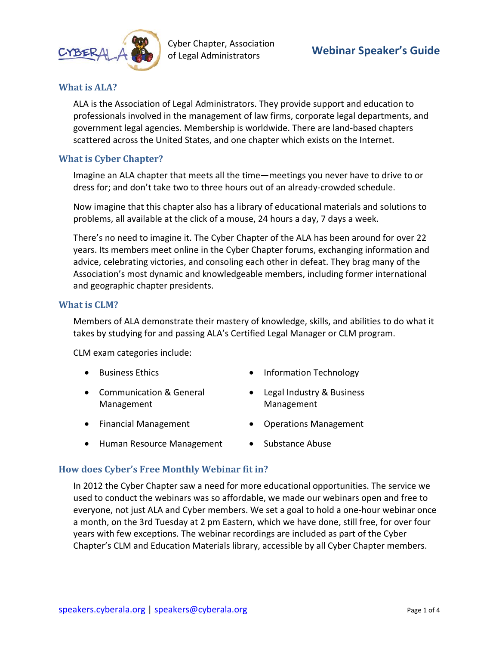

Cyber Chapter, Association of Legal Administrators **Webinar Speaker's Guide**

## **What is ALA?**

ALA is the Association of Legal Administrators. They provide support and education to professionals involved in the management of law firms, corporate legal departments, and government legal agencies. Membership is worldwide. There are land-based chapters scattered across the United States, and one chapter which exists on the Internet.

### **What is Cyber Chapter?**

Imagine an ALA chapter that meets all the time—meetings you never have to drive to or dress for; and don't take two to three hours out of an already-crowded schedule.

Now imagine that this chapter also has a library of educational materials and solutions to problems, all available at the click of a mouse, 24 hours a day, 7 days a week.

There's no need to imagine it. The Cyber Chapter of the ALA has been around for over 22 years. Its members meet online in the Cyber Chapter forums, exchanging information and advice, celebrating victories, and consoling each other in defeat. They brag many of the Association's most dynamic and knowledgeable members, including former international and geographic chapter presidents.

### **What is CLM?**

Members of ALA demonstrate their mastery of knowledge, skills, and abilities to do what it takes by studying for and passing ALA's Certified Legal Manager or CLM program.

<span id="page-0-0"></span>CLM exam categories include:

- Business Ethics
- Communication & General Management
- Financial Management
- Human Resource Management
- Information Technology
- Legal Industry & Business Management
- Operations Management
- Substance Abuse

### **How does Cyber's Free Monthly Webinar fit in?**

In 2012 the Cyber Chapter saw a need for more educational opportunities. The service we used to conduct the webinars was so affordable, we made our webinars open and free to everyone, not just ALA and Cyber members. We set a goal to hold a one-hour webinar once a month, on the 3rd Tuesday at 2 pm Eastern, which we have done, still free, for over four years with few exceptions. The webinar recordings are included as part of the Cyber Chapter's CLM and Education Materials library, accessible by all Cyber Chapter members.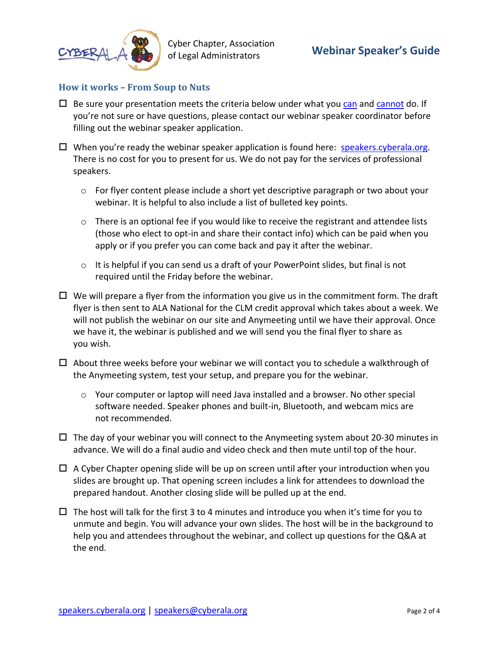

# **How it works – From Soup to Nuts**

- $\Box$  Be sure your presentation meets the criteria below under what you [can](#page-2-0) and [cannot](#page-3-0) do. If you're not sure or have questions, please contact our webinar speaker coordinator before filling out the webinar speaker application.
- $\Box$  When you're ready the webinar speaker application is found here: [speakers.cyberala.org.](https://www.cyberala.org/wp/?page_id=1266) There is no cost for you to present for us. We do not pay for the services of professional speakers.
	- o For flyer content please include a short yet descriptive paragraph or two about your webinar. It is helpful to also include a list of bulleted key points.
	- $\circ$  There is an optional fee if you would like to receive the registrant and attendee lists (those who elect to opt-in and share their contact info) which can be paid when you apply or if you prefer you can come back and pay it after the webinar.
	- o It is helpful if you can send us a draft of your PowerPoint slides, but final is not required until the Friday before the webinar.
- $\Box$  We will prepare a flyer from the information you give us in the commitment form. The draft flyer is then sent to ALA National for the CLM credit approval which takes about a week. We will not publish the webinar on our site and Anymeeting until we have their approval. Once we have it, the webinar is published and we will send you the final flyer to share as you wish.
- $\Box$  About three weeks before your webinar we will contact you to schedule a walkthrough of the Anymeeting system, test your setup, and prepare you for the webinar.
	- o Your computer or laptop will need Java installed and a browser. No other special software needed. Speaker phones and built-in, Bluetooth, and webcam mics are not recommended.
- $\Box$  The day of your webinar you will connect to the Anymeeting system about 20-30 minutes in advance. We will do a final audio and video check and then mute until top of the hour.
- $\Box$  A Cyber Chapter opening slide will be up on screen until after your introduction when you slides are brought up. That opening screen includes a link for attendees to download the prepared handout. Another closing slide will be pulled up at the end.
- $\Box$  The host will talk for the first 3 to 4 minutes and introduce you when it's time for you to unmute and begin. You will advance your own slides. The host will be in the background to help you and attendees throughout the webinar, and collect up questions for the Q&A at the end.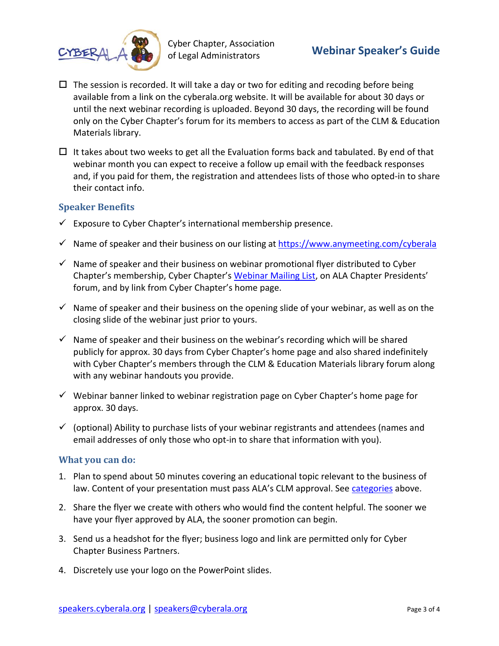

Cyber Chapter, Association of Legal Administrators **Webinar Speaker's Guide**

- $\Box$  The session is recorded. It will take a day or two for editing and recoding before being available from a link on the cyberala.org website. It will be available for about 30 days or until the next webinar recording is uploaded. Beyond 30 days, the recording will be found only on the Cyber Chapter's forum for its members to access as part of the CLM & Education Materials library.
- $\Box$  It takes about two weeks to get all the Evaluation forms back and tabulated. By end of that webinar month you can expect to receive a follow up email with the feedback responses and, if you paid for them, the registration and attendees lists of those who opted-in to share their contact info.

## **Speaker Benefits**

- $\checkmark$  Exposure to Cyber Chapter's international membership presence.
- $\checkmark$  Name of speaker and their business on our listing at <https://www.anymeeting.com/cyberala>
- $\checkmark$  Name of speaker and their business on webinar promotional flyer distributed to Cyber Chapter's membership, Cyber Chapter's [Webinar Mailing List,](https://www.cyberala.org/wp/?page_id=1486) on ALA Chapter Presidents' forum, and by link from Cyber Chapter's home page.
- $\checkmark$  Name of speaker and their business on the opening slide of your webinar, as well as on the closing slide of the webinar just prior to yours.
- $\checkmark$  Name of speaker and their business on the webinar's recording which will be shared publicly for approx. 30 days from Cyber Chapter's home page and also shared indefinitely with Cyber Chapter's members through the CLM & Education Materials library forum along with any webinar handouts you provide.
- $\checkmark$  Webinar banner linked to webinar registration page on Cyber Chapter's home page for approx. 30 days.
- $\checkmark$  (optional) Ability to purchase lists of your webinar registrants and attendees (names and email addresses of only those who opt-in to share that information with you).

### <span id="page-2-0"></span>**What you can do:**

- 1. Plan to spend about 50 minutes covering an educational topic relevant to the business of law. Content of your presentation must pass ALA's CLM approval. See [categories](#page-0-0) above.
- 2. Share the flyer we create with others who would find the content helpful. The sooner we have your flyer approved by ALA, the sooner promotion can begin.
- 3. Send us a headshot for the flyer; business logo and link are permitted only for Cyber Chapter Business Partners.
- 4. Discretely use your logo on the PowerPoint slides.